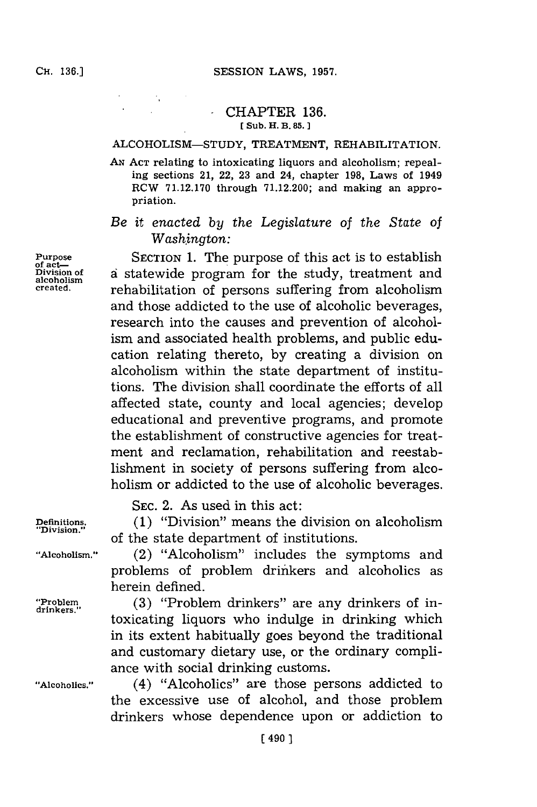## -CHAPTER **136. [Sub. H. B. 85.]1**

## ALCOHOLISM-STUDY, TREATMENT, REHABILITATION.

**AN ACT** relating to intoxicating liquors and alcoholism; repealing sections 21, 22, **23** and 24, chapter **198,** Laws of 1949 RCW **71.12.170** through **71.12.200;** and making an appropriation.

*Be it enacted by the Legislature of the State of Washington:*

Purpose SECTION **1.** The purpose of this act is to establish **Division of** a statewide program for the study, treatment and **alcoholism** rehabilitation of persons suffering from alcoholism and those addicted to the use of alcoholic beverages, research into the causes and prevention of alcoholism and associated health problems, and public education relating thereto, **by** creating a division on alcoholism within the state department of institutions. The division shall coordinate the efforts of all affected state, county and local agencies; develop educational and preventive programs, and promote the establishment of constructive agencies for treatment and reclamation, rehabilitation and reestablishment in society of persons suffering from alcoholism or addicted to the use of alcoholic beverages.

**SEC.** 2. As used in this act:

**Definitions.** (1) "Division" means the division on alcoholism "Division." of the state department of institutions.

**"Alcoholism."** (2) "Alcoholism" includes the symptoms and problems of problem drinkers and alcoholics as herein defined.

"Problem<sub>drinkers."</sub> (3) "Problem drinkers" are any drinkers of intoxicating liquors who indulge in drinking which in its extent habitually goes beyond the traditional and customary dietary use, or the ordinary compliance with social drinking customs.

**"Alcoholics."** (4) "Alcoholics" are those persons addicted to the excessive use of alcohol, and those problem drinkers whose dependence upon or addiction to

of act—<br>Division of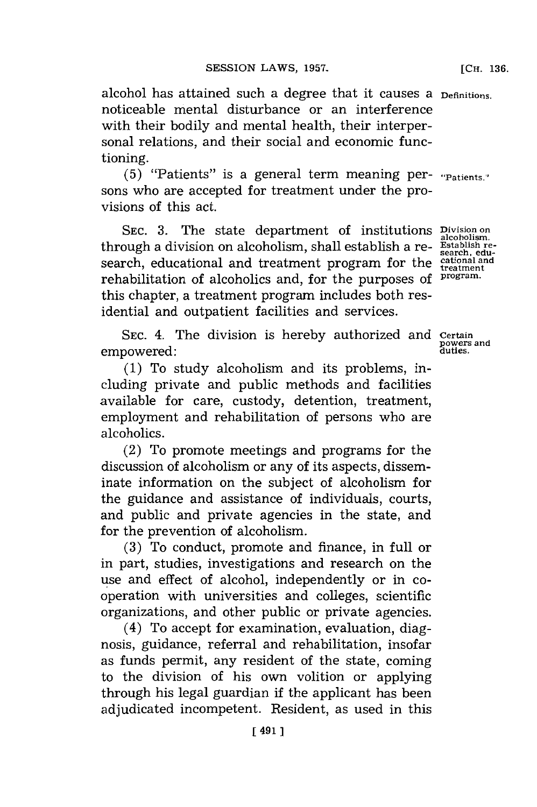alcohol has attained such a degree that it causes a **Definitions.** noticeable mental disturbance or an interference with their bodily and mental health, their interpersonal relations, and their social and economic functioning.

**(5)** "Patients" is a general term meaning per- **"Patients."** sons who are accepted for treatment under the provisions of this act.

**SEC. 3.** The state department of institutions **Division on alcoholism.** through a division on alcoholism, shall establish a re- **Establish re**search, educational and treatment program for the **cational and treatment** rehabilitation of alcoholics and, for the purposes of **program.** this chapter, a treatment program includes both residential and outpatient facilities and services.

SEC. 4. The division is hereby authorized and **Certain**<br>nowered in the division is hereby authorized and **proversed** empowered:

**(1)** To study alcoholism and its problems, including private and public methods and facilities available for care, custody, detention, treatment, employment and rehabilitation of persons who are alcoholics.

(2) To promote meetings and programs for the discussion of alcoholism or any of its aspects, disseminate information on the subject of alcoholism for the guidance and assistance of individuals, courts, and public and private agencies in the state, and for the prevention of alcoholism.

**(3)** To conduct, promote and finance, in full or in part, studies, investigations and research on the use and effect of alcohol, independently or in coo peration with universities and colleges, scientific organizations, and other public or private agencies.

(4) To accept for examination, evaluation, diagnosis, guidance, referral and rehabilitation, insofar as funds permit, any resident of the state, coming to the division of his own volition or applying through his legal guardian if the applicant has been adjudicated incompetent. Resident, as used in this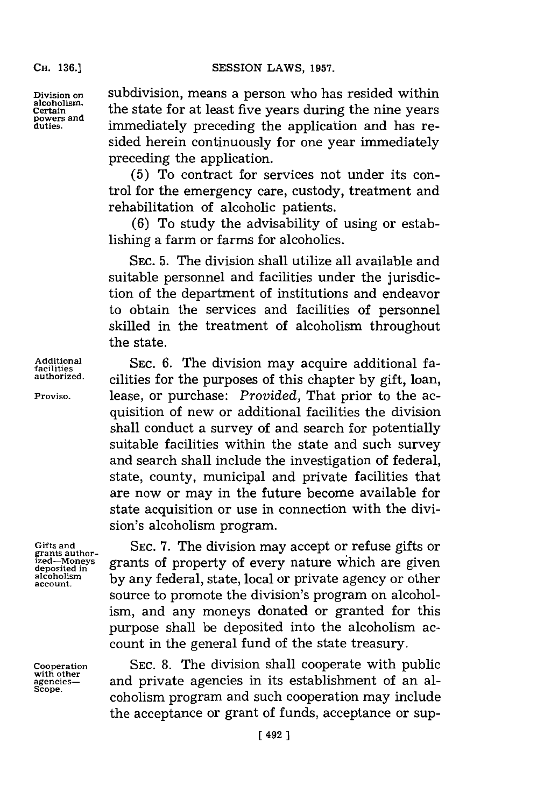**CH. 136.]**

**powers and**

**Division on** subdivision, means a person who has resided within **alcoholism,** the state for at least five years during the nine years immediately preceding the application and has resided herein continuously for one year immediately preceding the application.

> **(5)** To contract for services not under its control for the emergency care, custody, treatment and rehabilitation of alcoholic patients.

> **(6)** To study the advisability of using or establishing a farm or farms for alcoholics.

> **SEC. 5.** The division shall utilize all available and suitable personnel and facilities under the jurisdiction of the department of institutions and endeavor to obtain the services and facilities of personnel skilled in the treatment of alcoholism throughout the state.

Additional **SEC. 6.** The division may acquire additional facilities **authorized.** cilities for the purposes of this chapter **by** gift, loan, **Proviso,** lease, or purchase: *Provided,* That prior to the acquisition of new or additional facilities the division shall conduct a survey of and search for potentially suitable facilities within the state and such survey and search shall include the investigation of federal, state, county, municipal and private facilities that are now or may in the future become available for state acquisition or use in connection with the division's alcoholism program.

Gifts and SEC. 7. The division may accept or refuse gifts or *ized—Moneys* grants of property of every nature which are given deposited in grants of property of every nature which are given alcoholism by any federal, state, local or private agency or other source to promote the division's program on alcoholism, and any moneys donated or granted for this purpose shall be deposited into the alcoholism account in the general fund of the state treasury.

**Cooperation SEC. 8.** The division shall cooperate with public **with other** will other<br>agencies— and private agencies in its establishment of an al-<br>scope. coholism program and such cooperation may include the acceptance or grant of funds, acceptance or sup-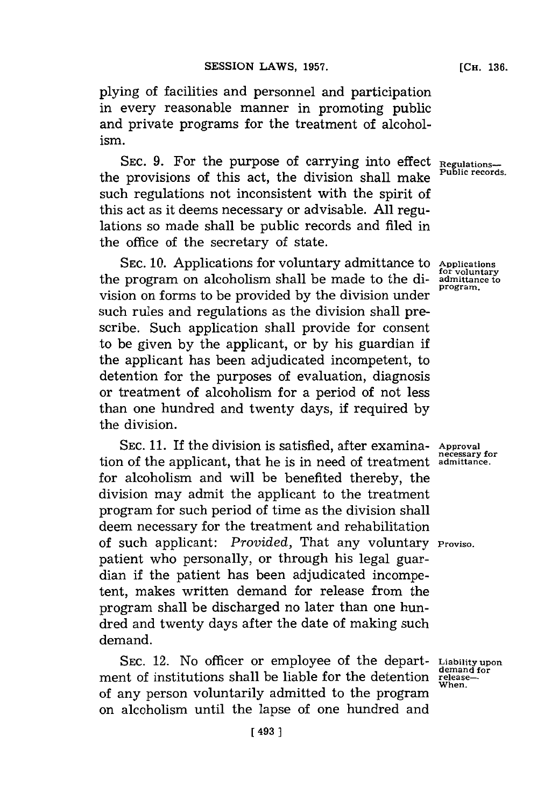plying of facilities and personnel and participation in every reasonable manner in promoting public and private programs for the treatment of alcoholism.

SEC. 9. For the purpose of carrying into effect Regulationsthe provisions of this act, the division shall make such regulations not inconsistent with the spirit of this act as it deems necessary or advisable. **All** regulations so made shall be public records and filed in the office of the secretary of state.

**SEC. 10.** Applications for voluntary admittance to **Applications for voluntary** the program on alcoholism shall be made to the division on forms to be provided **by** the division under such rules and regulations as the division shall prescribe. Such application shall provide for consent to be given **by** the applicant, or **by** his guardian if the applicant has been adjudicated incompetent, to detention for the purposes of evaluation, diagnosis or treatment of alcoholism for a period of not less than one hundred and twenty days, if required **by** the division.

**SEC. 11.** If the division is satisfied, after examina- **Approval** tion of the applicant, that he is in need of treatment admittance. for alcoholism and will be benefited thereby, the division may admit the applicant to the treatment program for such period of time as the division shall deem necessary for the treatment and rehabilitation of such applicant: *Provided,* That any voluntary **Proviso.** patient who personally, or through his legal guardian if the patient has been adjudicated incompetent, makes written demand for release from the program shall be discharged no later than one hundred and twenty days after the date of making such demand.

**SEC.** 12. No officer or employee of the depart-**Liability upon** ment of institutions shall be liable for the detention releaseof any person voluntarily admitted to the program on alcoholism until the lapse of one hundred and

**admittance to program.**

**demand for**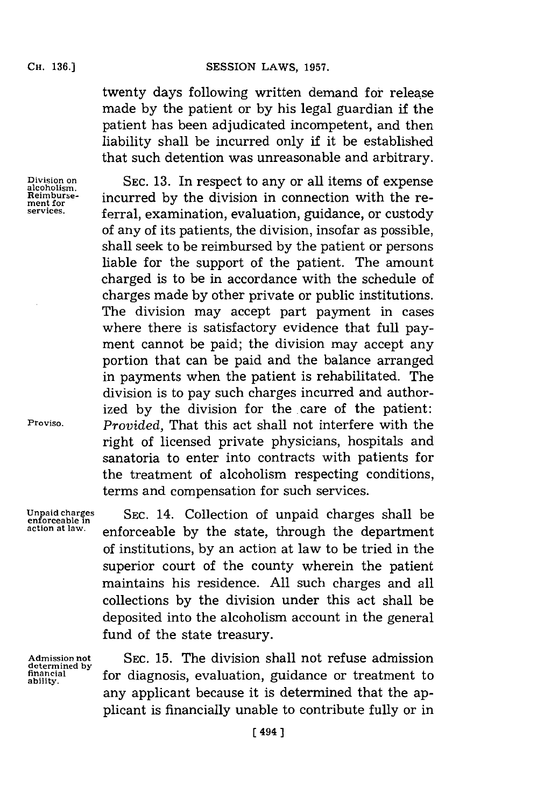twenty days following written demand for release made **by** the patient or **by** his legal guardian if the patient has been adjudicated incompetent, and then liability shall be incurred only if it be established that such detention was unreasonable and arbitrary.

**Division on alcoholism. Reimbursement for services.**

**SEC. 13.** In respect to any or all items of expense incurred **by** the division in connection with the referral, examination, evaluation, guidance, or custody of any of its patients, the division, insofar as possible, shall seek to be reimbursed **by** the patient or persons liable for the support of the patient. The amount charged is to be in accordance with the schedule of charges made **by** other private or public institutions. The division may accept part payment in cases where there is satisfactory evidence that full payment cannot be paid; the division may accept any portion that can be paid and the balance arranged in payments when the patient is rehabilitated. The division is to pay such charges incurred and authorized by the division for the care of the patient: *Provided,* That this act shall not interfere with the right of licensed private physicians, hospitals and sanatoria to enter into contracts with patients for the treatment of alcoholism respecting conditions, terms and compensation for such services.

**Unpaid charges enforceable in action at law.**

**Proviso.**

**SEC.** 14. Collection of unpaid charges shall be enforceable **by** the state, through the department of institutions, **by** an action at law to be tried in the superior court of the county wherein the patient maintains his residence. **All** such charges and all collections **by** the division under this act shall be deposited into the alcoholism account in the general fund of the state treasury.

**Admission not determined by financial ability.**

SEC. **15.** The division shall not refuse admission for diagnosis, evaluation, guidance or treatment to any applicant because it is determined that the applicant is financially unable to contribute fully or in